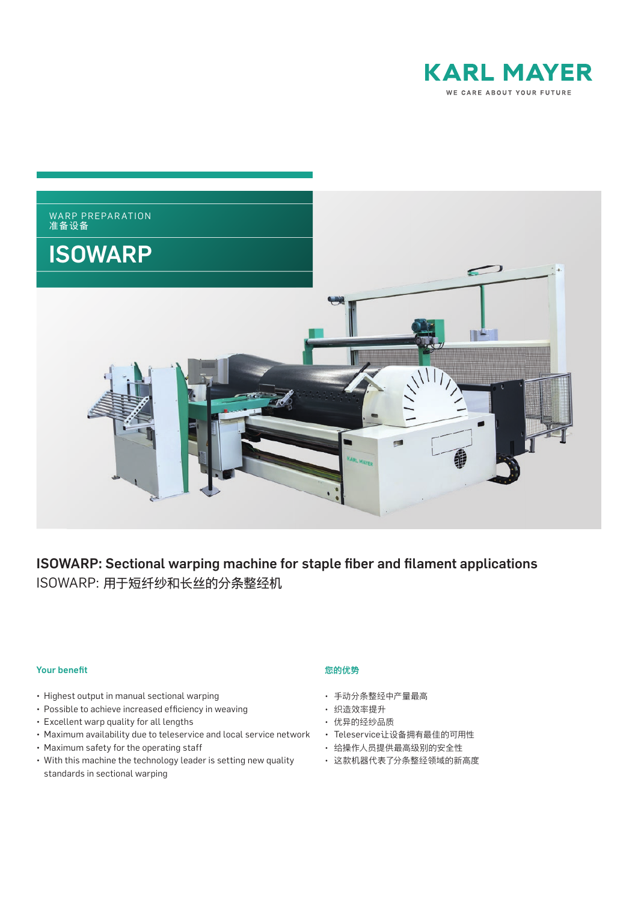



# ISOWARP: Sectional warping machine for staple fiber and filament applications ISOWARP:用于短纤纱和长丝的分条整经机

#### **Your benefit**

- Highest output in manual sectional warping
- Possible to achieve increased efficiency in weaving
- Excellent warp quality for all lengths
- Maximum availability due to teleservice and local service network
- Maximum safety for the operating staff
- With this machine the technology leader is setting new quality standards in sectional warping

#### 您的优势

- 手动分条整经中产量最高
- 织造效率提升
- 优异的经纱品质
- Teleservice让设备拥有最佳的可用性
- 给操作人员提供最高级别的安全性
- 这款机器代表了分条整经领域的新高度